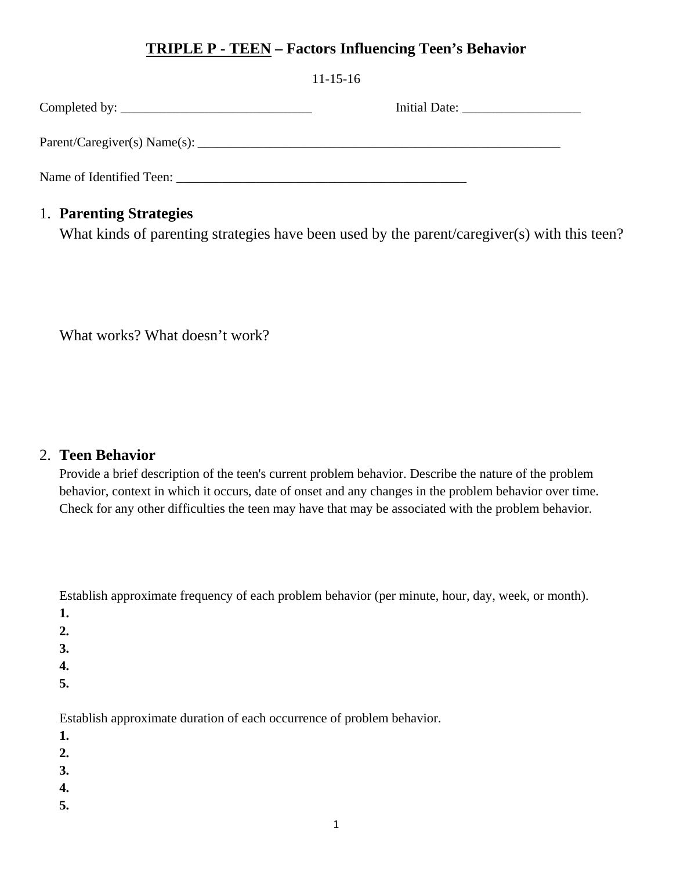# **TRIPLE P - TEEN – Factors Influencing Teen's Behavior**

|                                                   | $11 - 15 - 16$ |
|---------------------------------------------------|----------------|
|                                                   |                |
|                                                   |                |
| Name of Identified Teen: Name of Identified Teen: |                |

## 1. **Parenting Strategies**

What kinds of parenting strategies have been used by the parent/caregiver(s) with this teen?

What works? What doesn't work?

## 2. **Teen Behavior**

Provide a brief description of the teen's current problem behavior. Describe the nature of the problem behavior, context in which it occurs, date of onset and any changes in the problem behavior over time. Check for any other difficulties the teen may have that may be associated with the problem behavior.

Establish approximate frequency of each problem behavior (per minute, hour, day, week, or month).

- **1.**
- **2.**
- **3.**
- **4.**
- **5.**

Establish approximate duration of each occurrence of problem behavior.

- **1.**
- **2.**
- **3.**
- **4.**
- **5.**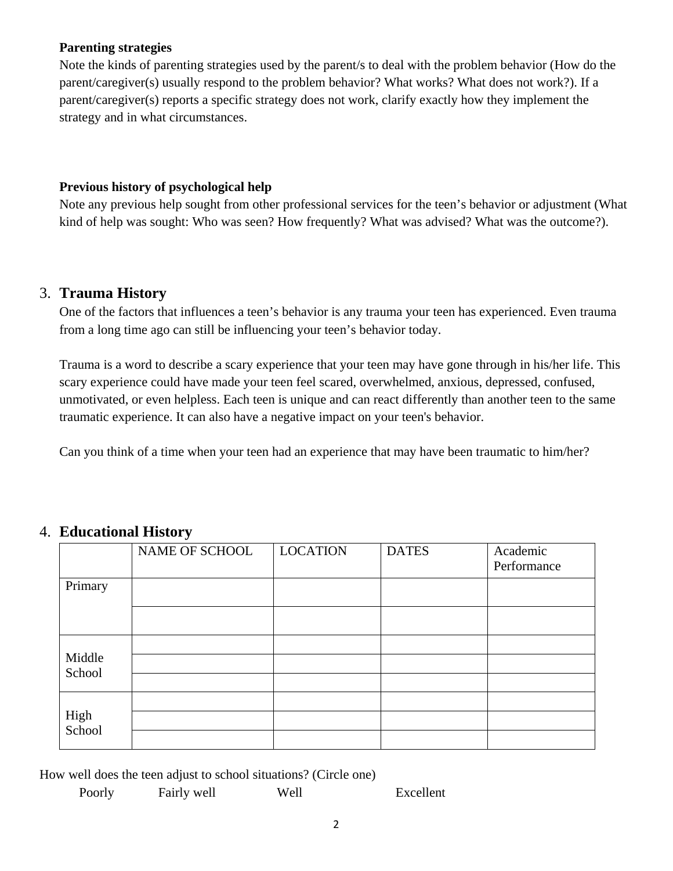#### **Parenting strategies**

Note the kinds of parenting strategies used by the parent/s to deal with the problem behavior (How do the parent/caregiver(s) usually respond to the problem behavior? What works? What does not work?). If a parent/caregiver(s) reports a specific strategy does not work, clarify exactly how they implement the strategy and in what circumstances.

#### **Previous history of psychological help**

Note any previous help sought from other professional services for the teen's behavior or adjustment (What kind of help was sought: Who was seen? How frequently? What was advised? What was the outcome?).

#### 3. **Trauma History**

One of the factors that influences a teen's behavior is any trauma your teen has experienced. Even trauma from a long time ago can still be influencing your teen's behavior today.

Trauma is a word to describe a scary experience that your teen may have gone through in his/her life. This scary experience could have made your teen feel scared, overwhelmed, anxious, depressed, confused, unmotivated, or even helpless. Each teen is unique and can react differently than another teen to the same traumatic experience. It can also have a negative impact on your teen's behavior.

Can you think of a time when your teen had an experience that may have been traumatic to him/her?

|                  | NAME OF SCHOOL | <b>LOCATION</b> | <b>DATES</b> | Academic<br>Performance |
|------------------|----------------|-----------------|--------------|-------------------------|
| Primary          |                |                 |              |                         |
|                  |                |                 |              |                         |
|                  |                |                 |              |                         |
| Middle<br>School |                |                 |              |                         |
|                  |                |                 |              |                         |
| High<br>School   |                |                 |              |                         |
|                  |                |                 |              |                         |
|                  |                |                 |              |                         |

## 4. **Educational History**

How well does the teen adjust to school situations? (Circle one)

| Poorly | Fairly well |  |
|--------|-------------|--|
|--------|-------------|--|

Poorly Fairly well Well Excellent